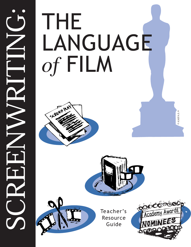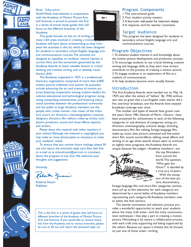







#### Dear Educator:

Youth Media International, in cooperation with the Academy of Motion Picture Arts and Sciences, is proud to present the first in a series of annual study guides that will focus on the different branches of the Academy.

This guide focuses on the art of writing, or many craft areas involved in creating a motion Students will learn about screenwriting as they complete the activities in this kit, which has been designed for students in secondary school English, language arts and communications courses.The activities are designed to capitalize on students' natural interest in current films and the excitement generated by the Academy Awards to teach valuable lessons in critical thinking and creative writing, and to develop visual literacy skills.

The Academy, organized in 1927, is a professional honorary organization composed of more than 6,000 motion picture craftsmen and women. Its purposes include advancing the art and science of motion pictures; fostering cooperation among creative leaders for cultural, educational and technological progress; recognizing outstanding achievements, and fostering educational activities between the professional community and the public at large.Academy members are the people who create movies—the cream of the industry's actors, art directors, cinematographers, costume designers, directors, film editors, make-up artists, composers, producers, sound and visual effects experts, and writers.

Please share this material with other teachers in your school.Although the material is copyrighted, you may make as many photocopies as necessary to meet your students' needs.

To ensure that you receive future mailings, please fill out and return the enclosed reply card.Also, feel free to e-mail us at schoolroom@aol.com to comment about the program at any time.We welcome your thoughts and suggestions.

Sincerely,

Roberta yusin

Roberta Nusim Publisher

This is the first in a series of guides that will focus on different branches of the Academy of Motion Picture Arts and Sciences. If you would like to receive future kits from the Academy and its various branches, please be sure to fill out and return the enclosed reply car



## Program Components

- 1.This instructional guide
- 2. Four student activity masters
- 3.A four-color wall poster for classroom display
- 4.A response card for teacher comments

## Target Audience

This program has been designed for students in secondary school English, language arts and communications courses.

# Program Objectives

1.To enhance student interest in and knowledge about the motion picture development and production process. 2.To encourage students to use critical thinking, creative writing and language skills as they learn how writers contribute to the process of creating a motion picture. 3.To engage students in an exploration of film as a medium of communication.

4.To help students become more visually literate.

#### Introduction

The first Academy Awards were handed out on May 16, 1929, just after the advent of "talkies." By 1930, enthusiasm was so great that a Los Angeles radio station did a live, one-hour broadcast, and the Awards have enjoyed broadcast coverage ever since.

The number and types of awards have grown over the years. Since 1981,Awards of Merit—Oscars—have been presented for achievement in each of the following categories or sub-divisions of categories: acting, art direction, cinematography, costume design, directing, documentary film, film editing, foreign-language film, make-up, music, best picture, animated and live-action short film, sound, sound-effects editing, visual effects and writing. In an age when awards shows seem as common as nightly news programs, the Academy Awards are unique because the judges—Academy members—are



the top filmmakers from around the world.The question, "Who gets the Oscar?," is decided by a true jury of peers.

With the exception of the best picture, documentary,

foreign-language film and short-film categories, nominations (of up to five selections for each category) are determined by a secret ballot of Academy members representing each category.All Academy members vote to select the final winners.

The awards nomination and selection process provides a wonderful opportunity to teach your students about the many craft areas—and the many communications techniques—that play a part in creating a motion picture. Filmmaking is by nature a collaborative process, with each craft area supporting and being supported by the others. Because our space is limited, this kit focuses on just one of those areas—writing.